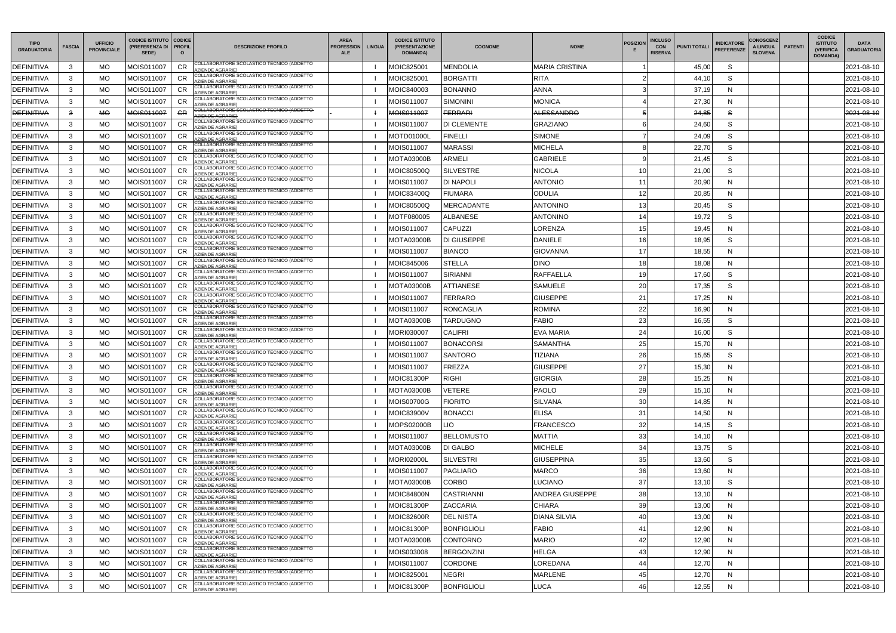| <b>TIPO</b><br><b>GRADUATORIA</b> | <b>FASCIA</b> | <b>UFFICIO</b><br><b>PROVINCIALE</b> | <b>CODICE ISTITUTO CODICE</b><br>(PREFERENZA DI   PROFIL<br>SEDE) | $\circ$          | <b>DESCRIZIONE PROFILO</b>                                           | <b>AREA</b><br><b>PROFESSION</b><br><b>ALE</b> | <b>LINGUA</b> | <b>CODICE ISTITUTO</b><br>(PRESENTAZIONE<br><b>DOMANDA)</b> | <b>COGNOME</b>     | <b>NOME</b>           | <b>POSIZION</b> | <b>INCLUSO</b><br><b>CON</b><br><b>RISERVA</b> | <b>PUNTI TOTALI</b> | <b>INDICATORE</b><br><b>PREFERENZE</b> | <b>CONOSCENZ</b><br>A LINGUA<br><b>SLOVENA</b> | <b>PATENTI</b> | <b>CODICE</b><br><b>ISTITUTO</b><br>(VERIFICA<br><b>DOMANDA)</b> | <b>DATA</b><br><b>GRADUATORIA</b> |
|-----------------------------------|---------------|--------------------------------------|-------------------------------------------------------------------|------------------|----------------------------------------------------------------------|------------------------------------------------|---------------|-------------------------------------------------------------|--------------------|-----------------------|-----------------|------------------------------------------------|---------------------|----------------------------------------|------------------------------------------------|----------------|------------------------------------------------------------------|-----------------------------------|
| <b>DEFINITIVA</b>                 | 3             | MO.                                  | MOIS011007                                                        | <b>CR</b>        | COLLABORATORE SCOLASTICO TECNICO (ADDETTO<br><b>ZIENDE AGRARIE)</b>  |                                                |               | MOIC825001                                                  | MENDOLIA           | <b>MARIA CRISTINA</b> |                 |                                                | 45,00               | S                                      |                                                |                |                                                                  | 2021-08-10                        |
| DEFINITIVA                        | 3             | МO                                   | MOIS011007                                                        | <b>CR</b>        | COLLABORATORE SCOLASTICO TECNICO (ADDETTO<br><b>ZIENDE AGRARIE)</b>  |                                                |               | MOIC825001                                                  | <b>BORGATTI</b>    | <b>RITA</b>           |                 |                                                | 44,10               | S                                      |                                                |                |                                                                  | 2021-08-10                        |
| <b>DEFINITIVA</b>                 | 3             | МO                                   | MOIS011007                                                        | <b>CR</b>        | COLLABORATORE SCOLASTICO TECNICO (ADDETTO<br><b>ZIENDE AGRARIE)</b>  |                                                |               | MOIC840003                                                  | <b>BONANNO</b>     | <b>ANNA</b>           |                 |                                                | 37,19               | N                                      |                                                |                |                                                                  | 2021-08-10                        |
| <b>DEFINITIVA</b>                 | 3             | МO                                   | MOIS011007                                                        | CR               | COLLABORATORE SCOLASTICO TECNICO (ADDETTO<br><b>ZIENDE AGRARIE)</b>  |                                                |               | MOIS011007                                                  | SIMONINI           | <b>MONICA</b>         |                 |                                                | 27,30               | N                                      |                                                |                |                                                                  | 2021-08-10                        |
| <b>DEFINITIVA</b>                 | 3             | МO                                   | MOIS011007                                                        | <b>GR</b>        | COLLABORATORE SCOLASTICO TECNICO (ADDETTO-<br><b>ZIENDE AGRARIE)</b> |                                                |               | MOIS011007                                                  | <b>FERRARI</b>     | <b>ALESSANDRO</b>     |                 |                                                | 24,85               | S                                      |                                                |                |                                                                  | 2021-08-10                        |
| <b>DEFINITIVA</b>                 | 3             | MO.                                  | MOIS011007                                                        | <b>CR</b>        | COLLABORATORE SCOLASTICO TECNICO (ADDETTO<br><b>ZIENDE AGRARIE)</b>  |                                                |               | MOIS011007                                                  | DI CLEMENTE        | <b>GRAZIANO</b>       |                 |                                                | 24,60               | S                                      |                                                |                |                                                                  | 2021-08-10                        |
| <b>DEFINITIVA</b>                 | 3             | МO                                   | MOIS011007                                                        | CR               | COLLABORATORE SCOLASTICO TECNICO (ADDETTO<br><b>ZIENDE AGRARIE)</b>  |                                                |               | <b>MOTD01000L</b>                                           | FINELLI            | <b>SIMONE</b>         |                 |                                                | 24,09               | S                                      |                                                |                |                                                                  | 2021-08-10                        |
| <b>DEFINITIVA</b>                 | 3             | MO.                                  | MOIS011007                                                        | <b>CR</b>        | COLLABORATORE SCOLASTICO TECNICO (ADDETTO<br><b>ZIENDE AGRARIE)</b>  |                                                |               | MOIS011007                                                  | <b>MARASSI</b>     | <b>MICHELA</b>        |                 |                                                | 22,70               | S                                      |                                                |                |                                                                  | 2021-08-10                        |
| <b>DEFINITIVA</b>                 | 3             | MO.                                  | MOIS011007                                                        | <b>CR</b>        | COLLABORATORE SCOLASTICO TECNICO (ADDETTO<br><b>ZIENDE AGRARIE)</b>  |                                                |               | MOTA03000B                                                  | ARMELI             | <b>GABRIELE</b>       |                 |                                                | 21,45               | S                                      |                                                |                |                                                                  | 2021-08-10                        |
| DEFINITIVA                        | 3             | МO                                   | MOIS011007                                                        | <b>CR</b>        | COLLABORATORE SCOLASTICO TECNICO (ADDETTO<br>ZIENDE AGRARIE)         |                                                |               | MOIC80500Q                                                  | <b>SILVESTRE</b>   | <b>NICOLA</b>         | 10              |                                                | 21,00               | S                                      |                                                |                |                                                                  | 2021-08-10                        |
| DEFINITIVA                        | 3             | МO                                   | MOIS011007                                                        |                  | COLLABORATORE SCOLASTICO TECNICO (ADDETTO<br><b>ZIENDE AGRARIE)</b>  |                                                |               | MOIS011007                                                  | DI NAPOLI          | <b>ANTONIO</b>        | 11              |                                                | 20,90               | N                                      |                                                |                |                                                                  | 2021-08-10                        |
| DEFINITIVA                        | 3             | МO                                   | MOIS011007                                                        | <b>CR</b>        | COLLABORATORE SCOLASTICO TECNICO (ADDETTO<br><b>ZIENDE AGRARIE)</b>  |                                                |               | MOIC83400Q                                                  | FIUMARA            | ODULIA                | 12              |                                                | 20,85               | N                                      |                                                |                |                                                                  | 2021-08-10                        |
| <b>DEFINITIVA</b>                 | 3             | MO.                                  | MOIS011007                                                        | <b>CR</b>        | COLLABORATORE SCOLASTICO TECNICO (ADDETTO<br><b>ZIENDE AGRARIE)</b>  |                                                |               | <b>MOIC80500Q</b>                                           | <b>MERCADANTE</b>  | <b>ANTONINO</b>       | 13              |                                                | 20,45               | S                                      |                                                |                |                                                                  | 2021-08-10                        |
| <b>DEFINITIVA</b>                 | 3             | МO                                   | MOIS011007                                                        | <b>CR</b>        | COLLABORATORE SCOLASTICO TECNICO (ADDETTO<br><b>ZIENDE AGRARIE)</b>  |                                                |               | MOTF080005                                                  | ALBANESE           | <b>ANTONINO</b>       | 14              |                                                | 19,72               | S                                      |                                                |                |                                                                  | 2021-08-10                        |
| DEFINITIVA                        | 3             | МO                                   | MOIS011007                                                        | <b>CR</b>        | COLLABORATORE SCOLASTICO TECNICO (ADDETTO<br><b>ZIENDE AGRARIE)</b>  |                                                |               | MOIS011007                                                  | <b>CAPUZZI</b>     | LORENZA               | 15              |                                                | 19,45               | N                                      |                                                |                |                                                                  | 2021-08-10                        |
| <b>DEFINITIVA</b>                 | 3             | MO.                                  | MOIS011007                                                        | <b>CR</b>        | COLLABORATORE SCOLASTICO TECNICO (ADDETTO<br><b>ZIENDE AGRARIE)</b>  |                                                |               | MOTA03000B                                                  | DI GIUSEPPE        | <b>DANIELE</b>        | 16              |                                                | 18,95               | S                                      |                                                |                |                                                                  | 2021-08-10                        |
| <b>DEFINITIVA</b>                 | 3             | MO.                                  | MOIS011007                                                        | <b>CR</b>        | COLLABORATORE SCOLASTICO TECNICO (ADDETTO<br><b>ZIENDE AGRARIE)</b>  |                                                |               | MOIS011007                                                  | <b>BIANCO</b>      | <b>GIOVANNA</b>       | 17              |                                                | 18,55               | N                                      |                                                |                |                                                                  | 2021-08-10                        |
| DEFINITIVA                        | 3             | MO.                                  | MOIS011007                                                        | <b>CR</b>        | COLLABORATORE SCOLASTICO TECNICO (ADDETTO<br><b>ZIENDE AGRARIE)</b>  |                                                |               | <b>MOIC845006</b>                                           | <b>STELLA</b>      | <b>DINO</b>           | 18              |                                                | 18,08               | N                                      |                                                |                |                                                                  | 2021-08-10                        |
| DEFINITIVA                        | 3             | МO                                   | MOIS011007                                                        | <b>CR</b>        | COLLABORATORE SCOLASTICO TECNICO (ADDETTO<br><b>ZIENDE AGRARIE)</b>  |                                                |               | MOIS011007                                                  | SIRIANNI           | <b>RAFFAELLA</b>      | 19              |                                                | 17,60               | S                                      |                                                |                |                                                                  | 2021-08-10                        |
| DEFINITIVA                        | 3             | MO.                                  | MOIS011007                                                        | <b>CR</b>        | COLLABORATORE SCOLASTICO TECNICO (ADDETTO<br><b>ZIENDE AGRARIE)</b>  |                                                |               | <b>MOTA03000B</b>                                           | ATTIANESE          | SAMUELE               | 20              |                                                | 17,35               | S                                      |                                                |                |                                                                  | 2021-08-10                        |
| DEFINITIVA                        | 3             | МO                                   | MOIS011007                                                        | <b>CR</b>        | COLLABORATORE SCOLASTICO TECNICO (ADDETTO<br><b>ZIENDE AGRARIE)</b>  |                                                |               | MOIS011007                                                  | FERRARO            | <b>GIUSEPPE</b>       | 21              |                                                | 17,25               | N                                      |                                                |                |                                                                  | 2021-08-10                        |
| <b>DEFINITIVA</b>                 | 3             | МO                                   | MOIS011007                                                        | <b>CR</b>        | COLLABORATORE SCOLASTICO TECNICO (ADDETTO<br><b>ZIENDE AGRARIE)</b>  |                                                |               | MOIS011007                                                  | RONCAGLIA          | <b>ROMINA</b>         | 22              |                                                | 16,90               | N                                      |                                                |                |                                                                  | 2021-08-10                        |
| <b>DEFINITIVA</b>                 | 3             | МO                                   | MOIS011007                                                        | <b>CR</b>        | COLLABORATORE SCOLASTICO TECNICO (ADDETTO<br><b>ZIENDE AGRARIE)</b>  |                                                |               | <b>MOTA03000B</b>                                           | TARDUGNO           | <b>FABIO</b>          | 23              |                                                | 16,55               | S                                      |                                                |                |                                                                  | 2021-08-10                        |
| <b>DEFINITIVA</b>                 | 3             | MO.                                  | MOIS011007                                                        | <b>CR</b>        | COLLABORATORE SCOLASTICO TECNICO (ADDETTO<br><b>ZIENDE AGRARIE)</b>  |                                                |               | MORI030007                                                  | CALIFRI            | <b>EVA MARIA</b>      | 24              |                                                | 16,00               | S                                      |                                                |                |                                                                  | 2021-08-10                        |
| DEFINITIVA                        | 3             | MO.                                  | MOIS011007                                                        | <b>CR</b>        | COLLABORATORE SCOLASTICO TECNICO (ADDETTO<br><b>ZIENDE AGRARIE)</b>  |                                                |               | MOIS011007                                                  | <b>BONACORSI</b>   | <b>SAMANTHA</b>       | 25              |                                                | 15,70               | N                                      |                                                |                |                                                                  | 2021-08-10                        |
| <b>DEFINITIVA</b>                 | 3             | MO.                                  | MOIS011007                                                        | <b>CR</b>        | COLLABORATORE SCOLASTICO TECNICO (ADDETTO<br><b>ZIENDE AGRARIE)</b>  |                                                |               | MOIS011007                                                  | <b>SANTORO</b>     | <b>TIZIANA</b>        | 26              |                                                | 15,65               | S                                      |                                                |                |                                                                  | 2021-08-10                        |
| <b>DEFINITIVA</b>                 | $\mathcal{R}$ | MO.                                  | MOIS011007                                                        | $\cap$<br>$\sim$ | COLLABORATORE SCOLASTICO TECNICO (ADDETTO<br>AZIENDE AGRARIE)        |                                                |               | MOIS011007                                                  | <b>FREZZA</b>      | <b>GIUSEPPE</b>       | 27              |                                                | 15,30               | $\mathsf{N}$                           |                                                |                |                                                                  | 2021-08-10                        |
| <b>DEFINITIVA</b>                 | $\mathbf{3}$  | MO.                                  | MOIS011007                                                        | <b>CR</b>        | COLLABORATORE SCOLASTICO TECNICO (ADDETTO<br><b>ZIENDE AGRARIE)</b>  |                                                |               | MOIC81300P                                                  | <b>RIGHI</b>       | <b>GIORGIA</b>        | 28              |                                                | 15,25               | N                                      |                                                |                |                                                                  | 2021-08-10                        |
| <b>DEFINITIVA</b>                 | 3             | MO                                   | MOIS011007                                                        | <b>CR</b>        | COLLABORATORE SCOLASTICO TECNICO (ADDETTO<br>AZIENDE AGRARIE)        |                                                |               | MOTA03000B                                                  | VETERE             | <b>PAOLO</b>          | 29              |                                                | 15,10               | N                                      |                                                |                |                                                                  | 2021-08-10                        |
| <b>DEFINITIVA</b>                 | 3             | MO                                   | MOIS011007                                                        | <b>CR</b>        | COLLABORATORE SCOLASTICO TECNICO (ADDETTO<br>ZIENDE AGRARIE)         |                                                |               | MOIS00700G                                                  | <b>FIORITO</b>     | <b>SILVANA</b>        | 30              |                                                | 14,85               | N                                      |                                                |                |                                                                  | 2021-08-10                        |
| <b>DEFINITIVA</b>                 | 3             | МO                                   | MOIS011007                                                        | <b>CR</b>        | COLLABORATORE SCOLASTICO TECNICO (ADDETTO<br>AZIENDE AGRARIE)        |                                                |               | MOIC83900V                                                  | <b>BONACCI</b>     | <b>ELISA</b>          | 31              |                                                | 14,50               | N                                      |                                                |                |                                                                  | 2021-08-10                        |
| <b>DEFINITIVA</b>                 | 3             | MO                                   | MOIS011007                                                        | <b>CR</b>        | COLLABORATORE SCOLASTICO TECNICO (ADDETTO<br>AZIENDE AGRARIE)        |                                                |               | MOPS02000B                                                  | _IO                | <b>FRANCESCO</b>      | 32              |                                                | 14,15               | S                                      |                                                |                |                                                                  | 2021-08-10                        |
| <b>DEFINITIVA</b>                 | 3             | MO.                                  | MOIS011007                                                        | <b>CR</b>        | COLLABORATORE SCOLASTICO TECNICO (ADDETTO<br>AZIENDE AGRARIE)        |                                                |               | MOIS011007                                                  | <b>BELLOMUSTO</b>  | <b>MATTIA</b>         | 33              |                                                | 14,10               | N                                      |                                                |                |                                                                  | 2021-08-10                        |
| <b>DEFINITIVA</b>                 | 3             | MO                                   | MOIS011007                                                        | CR               | COLLABORATORE SCOLASTICO TECNICO (ADDETTO<br>AZIENDE AGRARIE)        |                                                |               | <b>MOTA03000B</b>                                           | DI GALBO           | <b>MICHELE</b>        | 34              |                                                | 13,75               | S                                      |                                                |                |                                                                  | 2021-08-10                        |
| <b>DEFINITIVA</b>                 | $\mathbf{3}$  | MO                                   | MOIS011007                                                        | <b>CR</b>        | COLLABORATORE SCOLASTICO TECNICO (ADDETTO<br>ZIENDE AGRARIE)         |                                                |               | MORI02000L                                                  | SILVESTRI          | <b>GIUSEPPINA</b>     | 35              |                                                | 13,60               | S                                      |                                                |                |                                                                  | 2021-08-10                        |
| <b>DEFINITIVA</b>                 | 3             | MO.                                  | MOIS011007                                                        | CR               | COLLABORATORE SCOLASTICO TECNICO (ADDETTO<br>AZIENDE AGRARIE)        |                                                |               | MOIS011007                                                  | <b>PAGLIARO</b>    | <b>MARCO</b>          | 36              |                                                | 13,60               | N                                      |                                                |                |                                                                  | 2021-08-10                        |
| <b>DEFINITIVA</b>                 | 3             | MO                                   | MOIS011007                                                        | <b>CR</b>        | COLLABORATORE SCOLASTICO TECNICO (ADDETTO<br>ZIENDE AGRARIE)         |                                                |               | MOTA03000B                                                  | CORBO              | LUCIANO               | 37              |                                                | 13,10               | S                                      |                                                |                |                                                                  | 2021-08-10                        |
| <b>DEFINITIVA</b>                 | 3             | MO                                   | MOIS011007                                                        | <b>CR</b>        | COLLABORATORE SCOLASTICO TECNICO (ADDETTO<br>AZIENDE AGRARIE)        |                                                |               | <b>MOIC84800N</b>                                           | CASTRIANNI         | ANDREA GIUSEPPE       | 38              |                                                | 13,10               | N                                      |                                                |                |                                                                  | 2021-08-10                        |
| <b>DEFINITIVA</b>                 | 3             | MO                                   | MOIS011007                                                        | <b>CR</b>        | COLLABORATORE SCOLASTICO TECNICO (ADDETTO<br>AZIENDE AGRARIE)        |                                                |               | MOIC81300P                                                  | <b>ZACCARIA</b>    | <b>CHIARA</b>         | 39              |                                                | 13,00               | N                                      |                                                |                |                                                                  | 2021-08-10                        |
| <b>DEFINITIVA</b>                 | 3             | МO                                   | MOIS011007                                                        | <b>CR</b>        | COLLABORATORE SCOLASTICO TECNICO (ADDETTO<br>AZIENDE AGRARIE)        |                                                |               | <b>MOIC82600R</b>                                           | <b>DEL NISTA</b>   | <b>DIANA SILVIA</b>   | 40              |                                                | 13,00               | N                                      |                                                |                |                                                                  | 2021-08-10                        |
| <b>DEFINITIVA</b>                 | 3             | MO.                                  | MOIS011007                                                        | <b>CR</b>        | COLLABORATORE SCOLASTICO TECNICO (ADDETTO<br><b>AZIENDE AGRARIE)</b> |                                                |               | MOIC81300P                                                  | <b>BONFIGLIOLI</b> | <b>FABIO</b>          | 41              |                                                | 12,90               | N                                      |                                                |                |                                                                  | 2021-08-10                        |
| <b>DEFINITIVA</b>                 | 3             | МO                                   | MOIS011007                                                        | <b>CR</b>        | COLLABORATORE SCOLASTICO TECNICO (ADDETTO<br><b>ZIENDE AGRARIE)</b>  |                                                |               | <b>MOTA03000B</b>                                           | <b>CONTORNO</b>    | <b>MARIO</b>          | 42              |                                                | 12,90               | N                                      |                                                |                |                                                                  | 2021-08-10                        |
| <b>DEFINITIVA</b>                 | 3             | MO                                   | MOIS011007                                                        | <b>CR</b>        | COLLABORATORE SCOLASTICO TECNICO (ADDETTO<br>AZIENDE AGRARIE)        |                                                |               | MOIS003008                                                  | <b>BERGONZINI</b>  | <b>HELGA</b>          | 43              |                                                | 12,90               | N                                      |                                                |                |                                                                  | 2021-08-10                        |
| <b>DEFINITIVA</b>                 | 3             | MO                                   | MOIS011007                                                        | <b>CR</b>        | COLLABORATORE SCOLASTICO TECNICO (ADDETTO<br>AZIENDE AGRARIE)        |                                                |               | MOIS011007                                                  | <b>CORDONE</b>     | LOREDANA              | 44              |                                                | 12,70               | N                                      |                                                |                |                                                                  | 2021-08-10                        |
| <b>DEFINITIVA</b>                 | 3             | MO                                   | MOIS011007                                                        | <b>CR</b>        | COLLABORATORE SCOLASTICO TECNICO (ADDETTO<br>AZIENDE AGRARIE)        |                                                |               | MOIC825001                                                  | <b>NEGRI</b>       | <b>MARLENE</b>        | 45              |                                                | 12,70               | N                                      |                                                |                |                                                                  | 2021-08-10                        |
| <b>DEFINITIVA</b>                 | 3             | MO                                   | MOIS011007                                                        | CR               | COLLABORATORE SCOLASTICO TECNICO (ADDETTO<br><b>ZIENDE AGRARIE)</b>  |                                                |               | <b>MOIC81300P</b>                                           | <b>BONFIGLIOLI</b> | <b>LUCA</b>           | 46              |                                                | 12,55               | N                                      |                                                |                |                                                                  | 2021-08-10                        |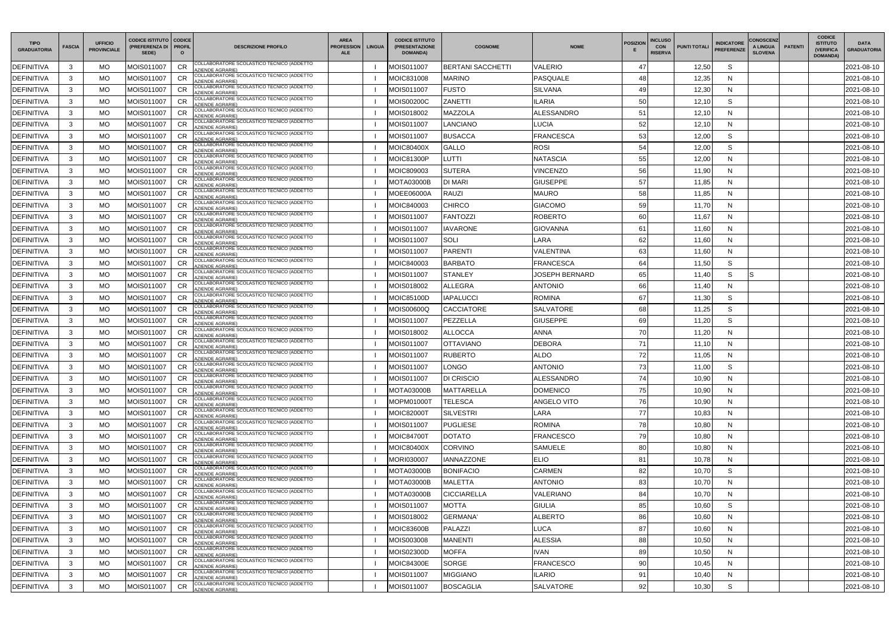| <b>TIPO</b><br><b>GRADUATORIA</b> | <b>FASCIA</b> | <b>UFFICIO</b><br><b>PROVINCIALE</b> | <b>CODICE ISTITUTO   CODICE</b><br>(PREFERENZA DI   PROFIL<br>SEDE) |                 | <b>DESCRIZIONE PROFILO</b>                                                              | <b>AREA</b><br><b>PROFESSION</b><br><b>ALE</b> | <b>LINGUA</b> | <b>CODICE ISTITUTO</b><br>(PRESENTAZIONE<br><b>DOMANDA)</b> | <b>COGNOME</b>           | <b>NOME</b>      | <b>POSIZION</b> | <b>INCLUSO</b><br><b>CON</b><br><b>PUNTI TOTALI</b><br><b>RISERVA</b> | <b>INDICATORE</b><br><b>PREFERENZE</b> | <b>CONOSCENZ</b><br>A LINGUA<br><b>SLOVENA</b> | <b>PATENTI</b> | <b>CODICE</b><br><b>ISTITUTO</b><br><b>(VERIFICA)</b><br><b>DOMANDA)</b> | <b>DATA</b><br><b>GRADUATORIA</b> |
|-----------------------------------|---------------|--------------------------------------|---------------------------------------------------------------------|-----------------|-----------------------------------------------------------------------------------------|------------------------------------------------|---------------|-------------------------------------------------------------|--------------------------|------------------|-----------------|-----------------------------------------------------------------------|----------------------------------------|------------------------------------------------|----------------|--------------------------------------------------------------------------|-----------------------------------|
| <b>DEFINITIVA</b>                 | 3             | <b>MO</b>                            | MOIS011007                                                          | <b>CR</b>       | COLLABORATORE SCOLASTICO TECNICO (ADDETTO<br><b>ZIENDE AGRARIE)</b>                     |                                                |               | MOIS011007                                                  | <b>BERTANI SACCHETTI</b> | VALERIO          | 47              | 12,50                                                                 | S                                      |                                                |                |                                                                          | 2021-08-10                        |
| <b>DEFINITIVA</b>                 | 3             | MO                                   | MOIS011007                                                          | <b>CR</b>       | COLLABORATORE SCOLASTICO TECNICO (ADDETTO<br><b>ZIENDE AGRARIE)</b>                     |                                                |               | MOIC831008                                                  | MARINO                   | <b>PASQUALE</b>  | 48              | 12,35                                                                 | N                                      |                                                |                |                                                                          | 2021-08-10                        |
| <b>DEFINITIVA</b>                 | 3             | MO                                   | MOIS011007                                                          | <b>CR</b>       | COLLABORATORE SCOLASTICO TECNICO (ADDETTO<br><b>ZIENDE AGRARIE)</b>                     |                                                |               | MOIS011007                                                  | <b>FUSTO</b>             | <b>SILVANA</b>   | 49              | 12,30                                                                 | N                                      |                                                |                |                                                                          | 2021-08-10                        |
| <b>DEFINITIVA</b>                 | 3             | МO                                   | MOIS011007                                                          |                 | COLLABORATORE SCOLASTICO TECNICO (ADDETTO<br><b>ZIENDE AGRARIE)</b>                     |                                                |               | MOIS00200C                                                  | ZANETTI                  | ILARIA           | 50              | 12,10                                                                 | S                                      |                                                |                |                                                                          | 2021-08-10                        |
| <b>DEFINITIVA</b>                 | 3             | MO                                   | MOIS011007                                                          | CR              | COLLABORATORE SCOLASTICO TECNICO (ADDETTO<br><b>ZIENDE AGRARIE)</b>                     |                                                |               | MOIS018002                                                  | MAZZOLA                  | ALESSANDRO       | 51              | 12,10                                                                 | N                                      |                                                |                |                                                                          | 2021-08-10                        |
| <b>DEFINITIVA</b>                 | 3             | MO                                   | MOIS011007                                                          | CR              | COLLABORATORE SCOLASTICO TECNICO (ADDETTO<br><b>ZIENDE AGRARIE</b>                      |                                                |               | MOIS011007                                                  | <b>ANCIANO</b>           | LUCIA            | 52              | 12,10                                                                 | N                                      |                                                |                |                                                                          | 2021-08-10                        |
| <b>DEFINITIVA</b>                 | 3             | MO                                   | MOIS011007                                                          | <b>CR</b>       | COLLABORATORE SCOLASTICO TECNICO (ADDETTO<br><b>ZIENDE AGRARIE)</b>                     |                                                |               | MOIS011007                                                  | <b>BUSACCA</b>           | <b>FRANCESCA</b> | 53              | 12,00                                                                 | S                                      |                                                |                |                                                                          | 2021-08-10                        |
| <b>DEFINITIVA</b>                 | 3             | <b>MO</b>                            | MOIS011007                                                          | <b>CR</b>       | COLLABORATORE SCOLASTICO TECNICO (ADDETTO<br><b>ZIENDE AGRARIE)</b>                     |                                                |               | MOIC80400X                                                  | <b>GALLO</b>             | <b>ROSI</b>      | 54              | 12,00                                                                 | S                                      |                                                |                |                                                                          | 2021-08-10                        |
| <b>DEFINITIVA</b>                 | 3             | MO                                   | MOIS011007                                                          |                 | COLLABORATORE SCOLASTICO TECNICO (ADDETTO<br><b>ZIENDE AGRARIE)</b>                     |                                                |               | MOIC81300P                                                  | LUTTI                    | NATASCIA         | 55              | 12,00                                                                 | N                                      |                                                |                |                                                                          | 2021-08-10                        |
| <b>DEFINITIVA</b>                 | 3             | MO                                   | MOIS011007                                                          | <b>CR</b>       | COLLABORATORE SCOLASTICO TECNICO (ADDETTO<br><b>ZIENDE AGRARIE)</b>                     |                                                |               | MOIC809003                                                  | <b>SUTERA</b>            | <b>VINCENZO</b>  | 56              | 11,90                                                                 | N                                      |                                                |                |                                                                          | 2021-08-10                        |
| <b>DEFINITIVA</b>                 | 3             | MO                                   | MOIS011007                                                          |                 | COLLABORATORE SCOLASTICO TECNICO (ADDETTO<br>AZIENDE AGRARIE)                           |                                                |               | MOTA03000B                                                  | DI MARI                  | <b>GIUSEPPE</b>  | 57              | 11,85                                                                 | N                                      |                                                |                |                                                                          | 2021-08-10                        |
| <b>DEFINITIVA</b>                 | 3             | MO                                   | MOIS011007                                                          | <b>CR</b>       | COLLABORATORE SCOLASTICO TECNICO (ADDETTO<br><b>ZIENDE AGRARIE)</b>                     |                                                |               | MOEE06000A                                                  | <b>RAUZI</b>             | <b>MAURO</b>     | 58              | 11,85                                                                 | N                                      |                                                |                |                                                                          | 2021-08-10                        |
| <b>DEFINITIVA</b>                 | 3             | МO                                   | MOIS011007                                                          | CR              | COLLABORATORE SCOLASTICO TECNICO (ADDETTO<br><b>ZIENDE AGRARIE</b>                      |                                                |               | MOIC840003                                                  | CHIRCO                   | <b>GIACOMO</b>   | 59              | 11,70                                                                 | N                                      |                                                |                |                                                                          | 2021-08-10                        |
| <b>DEFINITIVA</b>                 | 3             | MO                                   | MOIS011007                                                          | <b>CR</b>       | COLLABORATORE SCOLASTICO TECNICO (ADDETTO<br><b>ZIENDE AGRARIE)</b>                     |                                                |               | MOIS011007                                                  | FANTOZZI                 | <b>ROBERTO</b>   | 60              | 11,67                                                                 | N                                      |                                                |                |                                                                          | 2021-08-10                        |
| <b>DEFINITIVA</b>                 | 3             | MO                                   | MOIS011007                                                          | <b>CR</b>       | COLLABORATORE SCOLASTICO TECNICO (ADDETTO<br><b>ZIENDE AGRARIE)</b>                     |                                                |               | MOIS011007                                                  | <b>IAVARONE</b>          | <b>GIOVANNA</b>  | 61              | 11,60                                                                 | N                                      |                                                |                |                                                                          | 2021-08-10                        |
| <b>DEFINITIVA</b>                 | 3             | MO.                                  | MOIS011007                                                          | <b>CR</b>       | COLLABORATORE SCOLASTICO TECNICO (ADDETTO<br>ZIENDE AGRARIE)                            |                                                |               | MOIS011007                                                  | SOLI                     | LARA             | 62              | 11,60                                                                 | N                                      |                                                |                |                                                                          | 2021-08-10                        |
| <b>DEFINITIVA</b>                 | 3             | MO                                   | MOIS011007                                                          | CR              | COLLABORATORE SCOLASTICO TECNICO (ADDETTO<br><b>ZIENDE AGRARIE)</b>                     |                                                |               | MOIS011007                                                  | <b>PARENTI</b>           | VALENTINA        | 63              | 11,60                                                                 | N                                      |                                                |                |                                                                          | 2021-08-10                        |
| <b>DEFINITIVA</b>                 | $\mathbf{3}$  | MO                                   | MOIS011007                                                          |                 | COLLABORATORE SCOLASTICO TECNICO (ADDETTO<br><b>ZIENDE AGRARIE)</b>                     |                                                |               | MOIC840003                                                  | <b>BARBATO</b>           | FRANCESCA        | 64              | 11,50                                                                 | S                                      |                                                |                |                                                                          | 2021-08-10                        |
| <b>DEFINITIVA</b>                 | 3             | MO                                   | MOIS011007                                                          | <b>CR</b>       | COLLABORATORE SCOLASTICO TECNICO (ADDETTO<br><b>ZIENDE AGRARIE)</b>                     |                                                |               | MOIS011007                                                  | <b>STANLEY</b>           | JOSEPH BERNARD   | 65              | 11,40                                                                 | S                                      | S                                              |                |                                                                          | 2021-08-10                        |
| <b>DEFINITIVA</b>                 | 3             | МO                                   | MOIS011007                                                          | CR              | COLLABORATORE SCOLASTICO TECNICO (ADDETTO<br><b>ZIENDE AGRARIE</b>                      |                                                |               | MOIS018002                                                  | ALLEGRA                  | <b>ANTONIO</b>   | 66              | 11,40                                                                 | N                                      |                                                |                |                                                                          | 2021-08-10                        |
| <b>DEFINITIVA</b>                 | 3             | MO                                   | MOIS011007                                                          | CR              | COLLABORATORE SCOLASTICO TECNICO (ADDETTO<br>ZIENDE AGRARIE)                            |                                                |               | MOIC85100D                                                  | <b>IAPALUCCI</b>         | <b>ROMINA</b>    | 67              | 11,30                                                                 | S                                      |                                                |                |                                                                          | 2021-08-10                        |
| <b>DEFINITIVA</b>                 | 3             | MO                                   | MOIS011007                                                          | <b>CR</b>       | COLLABORATORE SCOLASTICO TECNICO (ADDETTO<br><b>ZIENDE AGRARIE)</b>                     |                                                |               | MOIS00600Q                                                  | CACCIATORE               | <b>SALVATORE</b> | 68              | 11,25                                                                 | S                                      |                                                |                |                                                                          | 2021-08-10                        |
| <b>DEFINITIVA</b>                 | 3             | MO                                   | MOIS011007                                                          | <b>CR</b>       | COLLABORATORE SCOLASTICO TECNICO (ADDETTO<br><b>ZIENDE AGRARIE)</b>                     |                                                |               | MOIS011007                                                  | PEZZELLA                 | <b>GIUSEPPE</b>  | 69              | 11,20                                                                 | S                                      |                                                |                |                                                                          | 2021-08-10                        |
| <b>DEFINITIVA</b>                 | 3             | МO                                   | MOIS011007                                                          | <b>CR</b>       | COLLABORATORE SCOLASTICO TECNICO (ADDETTO<br><b>ZIENDE AGRARIE)</b>                     |                                                |               | MOIS018002                                                  | <b>ALLOCCA</b>           | ANNA             | 70              | 11,20                                                                 | N                                      |                                                |                |                                                                          | 2021-08-10                        |
| <b>DEFINITIVA</b>                 | 3             | MO                                   | MOIS011007                                                          |                 | COLLABORATORE SCOLASTICO TECNICO (ADDETTO<br><b>ZIENDE AGRARIE)</b>                     |                                                |               | MOIS011007                                                  | OTTAVIANO                | DEBORA           | 71              | 11,10                                                                 | N                                      |                                                |                |                                                                          | 2021-08-10                        |
| <b>DEFINITIVA</b>                 | 3             | <b>MO</b>                            | MOIS011007                                                          | <b>CR</b>       | COLLABORATORE SCOLASTICO TECNICO (ADDETTO<br><b>ZIENDE AGRARIE)</b>                     |                                                |               | MOIS011007                                                  | <b>RUBERTO</b>           | <b>ALDO</b>      | 72              | 11,05                                                                 | N                                      |                                                |                |                                                                          | 2021-08-10                        |
| <b>DEFINITIVA</b>                 | $\mathbf{R}$  | MO.                                  | MOIS011007                                                          | $C$ R<br>$\sim$ | COLLABORATORE SCOLASTICO TECNICO (ADDETTO                                               |                                                |               | MOIS011007                                                  | <b>LONGO</b>             | <b>ANTONIO</b>   | 73              | 11,00                                                                 | $\mathcal{S}$                          |                                                |                |                                                                          | 2021-08-10                        |
| <b>DEFINITIVA</b>                 | 3             | MO                                   | MOIS011007                                                          | <b>CR</b>       | AZIENDE AGRARIE)<br>COLLABORATORE SCOLASTICO TECNICO (ADDETTO<br><b>ZIENDE AGRARIE)</b> |                                                |               | MOIS011007                                                  | <b>DI CRISCIO</b>        | ALESSANDRO       | 74              | 10,90                                                                 | N                                      |                                                |                |                                                                          | 2021-08-10                        |
| DEFINITIVA                        | 3             | MO                                   | MOIS011007                                                          | CR              | COLLABORATORE SCOLASTICO TECNICO (ADDETTO<br>AZIENDE AGRARIE)                           |                                                |               | <b>MOTA03000B</b>                                           | <b>MATTARELLA</b>        | <b>DOMENICO</b>  | 75              | 10,90                                                                 | N                                      |                                                |                |                                                                          | 2021-08-10                        |
| <b>DEFINITIVA</b>                 | 3             | MO                                   | MOIS011007                                                          | <b>CR</b>       | COLLABORATORE SCOLASTICO TECNICO (ADDETTO<br><b>ZIENDE AGRARIE)</b>                     |                                                |               | MOPM010001                                                  | <b>TELESCA</b>           | ANGELO VITO      | 76              | 10,90                                                                 | N                                      |                                                |                |                                                                          | 2021-08-10                        |
| <b>DEFINITIVA</b>                 | 3             | MO                                   | MOIS011007                                                          | <b>CR</b>       | COLLABORATORE SCOLASTICO TECNICO (ADDETTO<br>AZIENDE AGRARIE)                           |                                                |               | <b>MOIC82000T</b>                                           | <b>SILVESTRI</b>         | LARA             | 77              | 10,83                                                                 | N                                      |                                                |                |                                                                          | 2021-08-10                        |
| <b>DEFINITIVA</b>                 | 3             | MO                                   | MOIS011007                                                          | <b>CR</b>       | COLLABORATORE SCOLASTICO TECNICO (ADDETTO<br>AZIENDE AGRARIE)                           |                                                |               | MOIS011007                                                  | <b>PUGLIESE</b>          | <b>ROMINA</b>    | 78              | 10,80                                                                 | N                                      |                                                |                |                                                                          | 2021-08-10                        |
| <b>DEFINITIVA</b>                 | 3             | MO                                   | MOIS011007                                                          | <b>CR</b>       | COLLABORATORE SCOLASTICO TECNICO (ADDETTO<br>AZIENDE AGRARIE)                           |                                                |               | <b>MOIC84700T</b>                                           | <b>DOTATO</b>            | <b>FRANCESCO</b> | 79              | 10,80                                                                 | N                                      |                                                |                |                                                                          | 2021-08-10                        |
| <b>DEFINITIVA</b>                 | $\mathbf{3}$  | MO                                   | MOIS011007                                                          | CR              | COLLABORATORE SCOLASTICO TECNICO (ADDETTO<br>AZIENDE AGRARIE)                           |                                                |               | <b>MOIC80400X</b>                                           | <b>CORVINO</b>           | <b>SAMUELE</b>   | 80              | 10,80                                                                 | N                                      |                                                |                |                                                                          | 2021-08-10                        |
| <b>DEFINITIVA</b>                 | $\mathbf{3}$  | MO                                   | MOIS011007                                                          | <b>CR</b>       | COLLABORATORE SCOLASTICO TECNICO (ADDETTO<br><b>AZIENDE AGRARIE)</b>                    |                                                |               | MORI030007                                                  | <b>IANNAZZONE</b>        | <b>ELIO</b>      | 81              | 10,78                                                                 | N                                      |                                                |                |                                                                          | 2021-08-10                        |
| <b>DEFINITIVA</b>                 | 3             | MO                                   | MOIS011007                                                          | <b>CR</b>       | COLLABORATORE SCOLASTICO TECNICO (ADDETTO<br>AZIENDE AGRARIE)                           |                                                |               | <b>MOTA03000B</b>                                           | <b>BONIFACIO</b>         | <b>CARMEN</b>    | 82              | 10,70                                                                 | S                                      |                                                |                |                                                                          | 2021-08-10                        |
| <b>DEFINITIVA</b>                 | 3             | MO                                   | MOIS011007                                                          | <b>CR</b>       | COLLABORATORE SCOLASTICO TECNICO (ADDETTO<br>ZIENDE AGRARIE)                            |                                                |               | <b>MOTA03000B</b>                                           | <b>MALETTA</b>           | <b>ANTONIO</b>   | 83              | 10,70                                                                 | N                                      |                                                |                |                                                                          | 2021-08-10                        |
| <b>DEFINITIVA</b>                 | 3             | MO                                   | MOIS011007                                                          | CR              | COLLABORATORE SCOLASTICO TECNICO (ADDETTO<br>AZIENDE AGRARIE)                           |                                                |               | <b>MOTA03000B</b>                                           | <b>CICCIARELLA</b>       | VALERIANO        | 84              | 10,70                                                                 | N                                      |                                                |                |                                                                          | 2021-08-10                        |
| <b>DEFINITIVA</b>                 | 3             | MO                                   | MOIS011007                                                          | <b>CR</b>       | COLLABORATORE SCOLASTICO TECNICO (ADDETTO<br>AZIENDE AGRARIE)                           |                                                |               | MOIS011007                                                  | <b>MOTTA</b>             | <b>GIULIA</b>    | 85              | 10,60                                                                 | S                                      |                                                |                |                                                                          | 2021-08-10                        |
| <b>DEFINITIVA</b>                 | 3             | MO                                   | MOIS011007                                                          | <b>CR</b>       | COLLABORATORE SCOLASTICO TECNICO (ADDETTO<br><b>AZIENDE AGRARIE)</b>                    |                                                |               | MOIS018002                                                  | <b>GERMANA'</b>          | <b>ALBERTO</b>   | 86              | 10,60                                                                 | N                                      |                                                |                |                                                                          | 2021-08-10                        |
| <b>DEFINITIVA</b>                 | 3             | MO                                   | MOIS011007                                                          | <b>CR</b>       | COLLABORATORE SCOLASTICO TECNICO (ADDETTO                                               |                                                |               | MOIC83600B                                                  | PALAZZI                  | LUCA             | 87              | 10,60                                                                 | N                                      |                                                |                |                                                                          | 2021-08-10                        |
| <b>DEFINITIVA</b>                 | 3             | MO                                   | MOIS011007                                                          | CR              | <b>ZIENDE AGRARIE)</b><br>COLLABORATORE SCOLASTICO TECNICO (ADDETTO                     |                                                |               | MOIS003008                                                  | <b>MANENTI</b>           | <b>ALESSIA</b>   | 88              | 10,50                                                                 | N                                      |                                                |                |                                                                          | 2021-08-10                        |
| <b>DEFINITIVA</b>                 | $\mathbf{3}$  | MO                                   | MOIS011007                                                          | <b>CR</b>       | <b>ZIENDE AGRARIE)</b><br>COLLABORATORE SCOLASTICO TECNICO (ADDETTO<br>AZIENDE AGRARIE) |                                                |               | MOIS02300D                                                  | <b>MOFFA</b>             | <b>IVAN</b>      | 89              | 10,50                                                                 | N                                      |                                                |                |                                                                          | 2021-08-10                        |
| <b>DEFINITIVA</b>                 | 3             | MO                                   | MOIS011007                                                          | <b>CR</b>       | COLLABORATORE SCOLASTICO TECNICO (ADDETTO<br>AZIENDE AGRARIE)                           |                                                |               | MOIC84300E                                                  | <b>SORGE</b>             | <b>FRANCESCO</b> | 90              | 10,45                                                                 | N                                      |                                                |                |                                                                          | 2021-08-10                        |
| <b>DEFINITIVA</b>                 | 3             | MO                                   | MOIS011007                                                          | <b>CR</b>       | COLLABORATORE SCOLASTICO TECNICO (ADDETTO<br>ZIENDE AGRARIE)                            |                                                |               | MOIS011007                                                  | <b>MIGGIANO</b>          | <b>ILARIO</b>    | 91              | 10,40                                                                 | N                                      |                                                |                |                                                                          | 2021-08-10                        |
| <b>DEFINITIVA</b>                 | 3             | MO                                   | MOIS011007                                                          | CR              | COLLABORATORE SCOLASTICO TECNICO (ADDETTO                                               |                                                |               | MOIS011007                                                  | <b>BOSCAGLIA</b>         | <b>SALVATORE</b> | 92              | 10,30                                                                 | S                                      |                                                |                |                                                                          | 2021-08-10                        |
|                                   |               |                                      |                                                                     |                 | <b>ZIENDE AGRARIE)</b>                                                                  |                                                |               |                                                             |                          |                  |                 |                                                                       |                                        |                                                |                |                                                                          |                                   |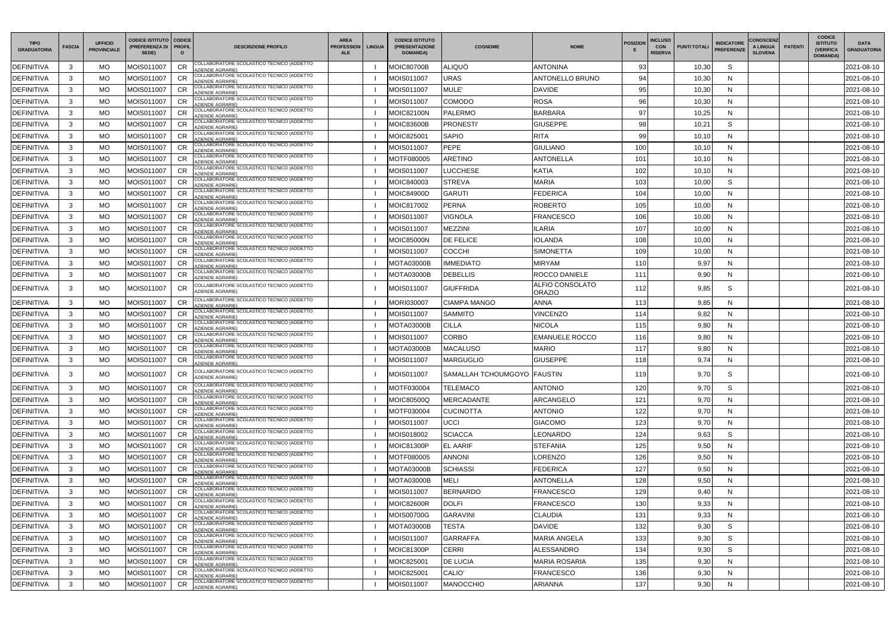| <b>TIPO</b><br><b>GRADUATORIA</b> | <b>FASCIA</b> | <b>UFFICIO</b><br><b>PROVINCIALE</b> | CODICE ISTITUTO   CODICE<br>(PREFERENZA DI   PROFIL<br>SEDE) |           | <b>DESCRIZIONE PROFILO</b>                                                                                 | <b>AREA</b><br><b>PROFESSION</b><br><b>ALE</b> | <b>LINGUA</b> | <b>CODICE ISTITUTO</b><br>(PRESENTAZIONE<br>DOMANDA) | <b>COGNOME</b>              | <b>NOME</b>                      | <b>POSIZION</b> | <b>INCLUSO</b><br><b>CON</b><br><b>RISERVA</b> | <b>PUNTI TOTALI</b> | <b>INDICATORE</b><br><b>PREFERENZE</b> | <b>CONOSCENZ</b><br>A LINGUA<br><b>SLOVENA</b> | <b>PATENTI</b> | <b>CODICE</b><br><b>ISTITUTO</b><br><b>(VERIFICA)</b><br><b>DOMANDA)</b> | <b>DATA</b><br><b>GRADUATORIA</b> |
|-----------------------------------|---------------|--------------------------------------|--------------------------------------------------------------|-----------|------------------------------------------------------------------------------------------------------------|------------------------------------------------|---------------|------------------------------------------------------|-----------------------------|----------------------------------|-----------------|------------------------------------------------|---------------------|----------------------------------------|------------------------------------------------|----------------|--------------------------------------------------------------------------|-----------------------------------|
| <b>DEFINITIVA</b>                 | 3             | MO.                                  | MOIS011007                                                   | <b>CR</b> | COLLABORATORE SCOLASTICO TECNICO (ADDETTO<br><b>ZIENDE AGRARIE)</b>                                        |                                                |               | <b>MOIC80700B</b>                                    | <b>ALIQUÒ</b>               | <b>ANTONINA</b>                  | 93              |                                                | 10,30               | S                                      |                                                |                |                                                                          | 2021-08-10                        |
| DEFINITIVA                        | 3             | МO                                   | MOIS011007                                                   | <b>CR</b> | COLLABORATORE SCOLASTICO TECNICO (ADDETTO<br><b>ZIENDE AGRARIE)</b>                                        |                                                |               | MOIS011007                                           | URAS                        | <b>ANTONELLO BRUNO</b>           | 94              |                                                | 10,30               | N                                      |                                                |                |                                                                          | 2021-08-10                        |
| <b>DEFINITIVA</b>                 | 3             | МO                                   | MOIS011007                                                   | <b>CR</b> | COLLABORATORE SCOLASTICO TECNICO (ADDETTO<br><b>ZIENDE AGRARIE)</b>                                        |                                                |               | MOIS011007                                           | MULE'                       | <b>DAVIDE</b>                    | 95              |                                                | 10,30               | N                                      |                                                |                |                                                                          | 2021-08-10                        |
| DEFINITIVA                        | 3             | MO.                                  | MOIS011007                                                   | CR        | COLLABORATORE SCOLASTICO TECNICO (ADDETTO<br><b>AZIENDE AGRARIE)</b>                                       |                                                |               | MOIS011007                                           | COMODO                      | <b>ROSA</b>                      | 96              |                                                | 10,30               | N                                      |                                                |                |                                                                          | 2021-08-10                        |
| DEFINITIVA                        | 3             | MO.                                  | MOIS011007                                                   | <b>CR</b> | COLLABORATORE SCOLASTICO TECNICO (ADDETTO<br><b>ZIENDE AGRARIE)</b>                                        |                                                |               | MOIC82100N                                           | <b>PALERMO</b>              | <b>BARBARA</b>                   | 97              |                                                | 10,25               | N                                      |                                                |                |                                                                          | 2021-08-10                        |
| <b>DEFINITIVA</b>                 | 3             | МO                                   | MOIS011007                                                   | <b>CR</b> | COLLABORATORE SCOLASTICO TECNICO (ADDETTO<br><b>ZIENDE AGRARIE)</b>                                        |                                                |               | <b>MOIC83600B</b>                                    | <b>PRONESTI</b>             | <b>GIUSEPPE</b>                  | 98              |                                                | 10,21               | S                                      |                                                |                |                                                                          | 2021-08-10                        |
| <b>DEFINITIVA</b>                 | 3             | MO                                   | MOIS011007                                                   | CR        | COLLABORATORE SCOLASTICO TECNICO (ADDETTO<br><b>ZIENDE AGRARIE)</b>                                        |                                                |               | MOIC825001                                           | <b>SAPIO</b>                | <b>RITA</b>                      | 99              |                                                | 10,10               | N                                      |                                                |                |                                                                          | 2021-08-10                        |
| <b>DEFINITIVA</b>                 | 3             | MO.                                  | MOIS011007                                                   | <b>CR</b> | COLLABORATORE SCOLASTICO TECNICO (ADDETTO<br>AZIENDE AGRARIE)                                              |                                                |               | MOIS011007                                           | <b>PEPE</b>                 | <b>GIULIANO</b>                  | 100             |                                                | 10,10               | N                                      |                                                |                |                                                                          | 2021-08-10                        |
| <b>DEFINITIVA</b>                 | 3             | MO.                                  | MOIS011007                                                   | <b>CR</b> | COLLABORATORE SCOLASTICO TECNICO (ADDETTO<br><b>AZIENDE AGRARIE)</b>                                       |                                                |               | MOTF080005                                           | ARETINO                     | ANTONELLA                        | 101             |                                                | 10,10               | N                                      |                                                |                |                                                                          | 2021-08-10                        |
| DEFINITIVA                        | 3             | MO.                                  | MOIS011007                                                   | <b>CR</b> | COLLABORATORE SCOLASTICO TECNICO (ADDETTO<br><b>ZIENDE AGRARIE)</b>                                        |                                                |               | MOIS011007                                           | LUCCHESE                    | <b>KATIA</b>                     | 102             |                                                | 10,10               | N                                      |                                                |                |                                                                          | 2021-08-10                        |
| DEFINITIVA                        | 3             | МO                                   | MOIS011007                                                   |           | COLLABORATORE SCOLASTICO TECNICO (ADDETTO<br>AZIENDE AGRARIE)                                              |                                                |               | MOIC840003                                           | STREVA                      | <b>MARIA</b>                     | 103             |                                                | 10,00               | S                                      |                                                |                |                                                                          | 2021-08-10                        |
| DEFINITIVA                        | 3             | MO.                                  | MOIS011007                                                   | <b>CR</b> | COLLABORATORE SCOLASTICO TECNICO (ADDETTO<br><b>ZIENDE AGRARIE)</b>                                        |                                                |               | MOIC84900D                                           | <b>GARUTI</b>               | <b>FEDERICA</b>                  | 104             |                                                | 10,00               | N                                      |                                                |                |                                                                          | 2021-08-10                        |
| DEFINITIVA                        | 3             | MO.                                  | MOIS011007                                                   | <b>CR</b> | COLLABORATORE SCOLASTICO TECNICO (ADDETTO<br><b>ZIENDE AGRARIE)</b>                                        |                                                |               | MOIC817002                                           | PERNA                       | <b>ROBERTO</b>                   | 105             |                                                | 10,00               | N                                      |                                                |                |                                                                          | 2021-08-10                        |
| <b>DEFINITIVA</b>                 | 3             | MO                                   | MOIS011007                                                   | <b>CR</b> | COLLABORATORE SCOLASTICO TECNICO (ADDETTO<br><b>ZIENDE AGRARIE)</b>                                        |                                                |               | MOIS011007                                           | <b>/IGNOLA</b>              | <b>FRANCESCO</b>                 | 106             |                                                | 10,00               | N                                      |                                                |                |                                                                          | 2021-08-10                        |
| <b>DEFINITIVA</b>                 | 3             | МO                                   | MOIS011007                                                   | <b>CR</b> | COLLABORATORE SCOLASTICO TECNICO (ADDETTO<br><b>ZIENDE AGRARIE)</b>                                        |                                                |               | MOIS011007                                           | MEZZINI                     | ILARIA                           | 107             |                                                | 10,00               | N                                      |                                                |                |                                                                          | 2021-08-10                        |
| <b>DEFINITIVA</b>                 | 3             | MO.                                  | MOIS011007                                                   | <b>CR</b> | COLLABORATORE SCOLASTICO TECNICO (ADDETTO<br><b>ZIENDE AGRARIE)</b>                                        |                                                |               | <b>MOIC85000N</b>                                    | <b>DE FELICE</b>            | IOLANDA                          | 108             |                                                | 10,00               | N                                      |                                                |                |                                                                          | 2021-08-10                        |
| DEFINITIVA                        | 3             | MO.                                  | MOIS011007                                                   | <b>CR</b> | COLLABORATORE SCOLASTICO TECNICO (ADDETTO<br><b>ZIENDE AGRARIE)</b>                                        |                                                |               | MOIS011007                                           | COCCHI                      | <b>SIMONETTA</b>                 | 109             |                                                | 10,00               | N                                      |                                                |                |                                                                          | 2021-08-10                        |
| DEFINITIVA                        | $\mathbf{3}$  | MO.                                  | MOIS011007                                                   | <b>CR</b> | COLLABORATORE SCOLASTICO TECNICO (ADDETTO<br><b>AZIENDE AGRARIE)</b>                                       |                                                |               | <b>MOTA03000B</b>                                    | <b>IMMEDIATO</b>            | <b>MIRYAM</b>                    | 110             |                                                | 9,97                | N                                      |                                                |                |                                                                          | 2021-08-10                        |
| DEFINITIVA                        | 3             | МO                                   | MOIS011007                                                   | <b>CR</b> | COLLABORATORE SCOLASTICO TECNICO (ADDETTO<br><b>ZIENDE AGRARIE)</b>                                        |                                                |               | <b>MOTA03000B</b>                                    | <b>DEBELLIS</b>             | <b>ROCCO DANIELE</b>             | 111             |                                                | 9,90                | N                                      |                                                |                |                                                                          | 2021-08-10                        |
| <b>DEFINITIVA</b>                 | 3             | MO.                                  | MOIS011007                                                   | <b>CR</b> | COLLABORATORE SCOLASTICO TECNICO (ADDETTO<br>AZIENDE AGRARIE)                                              |                                                |               | MOIS011007                                           | <b>GIUFFRIDA</b>            | ALFIO CONSOLATO<br><b>ORAZIO</b> | 112             |                                                | 9,85                | S                                      |                                                |                |                                                                          | 2021-08-10                        |
| <b>DEFINITIVA</b>                 | 3             | MO.                                  | MOIS011007                                                   | <b>CR</b> | COLLABORATORE SCOLASTICO TECNICO (ADDETTO<br><b>ZIENDE AGRARIE)</b>                                        |                                                |               | MORI030007                                           | CIAMPA MANGO                | <b>ANNA</b>                      | 113             |                                                | 9,85                | N                                      |                                                |                |                                                                          | 2021-08-10                        |
| <b>DEFINITIVA</b>                 | 3             | MO.                                  | MOIS011007                                                   | <b>CR</b> | COLLABORATORE SCOLASTICO TECNICO (ADDETTO<br><b>ZIENDE AGRARIE)</b>                                        |                                                |               | MOIS011007                                           | <b>SAMMITO</b>              | <b>VINCENZO</b>                  | 114             |                                                | 9,82                | N                                      |                                                |                |                                                                          | 2021-08-10                        |
| <b>DEFINITIVA</b>                 | 3             | MO.                                  | MOIS011007                                                   | <b>CR</b> | COLLABORATORE SCOLASTICO TECNICO (ADDETTO<br><b>ZIENDE AGRARIE)</b>                                        |                                                |               | <b>MOTA03000B</b>                                    | <b>CILLA</b>                | <b>NICOLA</b>                    | 115             |                                                | 9,80                | N                                      |                                                |                |                                                                          | 2021-08-10                        |
| <b>DEFINITIVA</b>                 | 3             | MO.                                  | MOIS011007                                                   | <b>CR</b> | COLLABORATORE SCOLASTICO TECNICO (ADDETTO<br><b>ZIENDE AGRARIE)</b>                                        |                                                |               | MOIS011007                                           | CORBO                       | <b>EMANUELE ROCCO</b>            | 116             |                                                | 9,80                | N                                      |                                                |                |                                                                          | 2021-08-10                        |
| <b>DEFINITIVA</b>                 | 3             | MO.                                  | MOIS011007                                                   | CR        | COLLABORATORE SCOLASTICO TECNICO (ADDETTO<br><b>ZIENDE AGRARIE)</b>                                        |                                                |               | MOTA03000E                                           | <b>MACALUSO</b>             | <b>MARIO</b>                     | 117             |                                                | 9,80                | N                                      |                                                |                |                                                                          | 2021-08-10                        |
| <b>DEFINITIVA</b>                 | 3             | МO                                   | MOIS011007                                                   | <b>CR</b> | COLLABORATORE SCOLASTICO TECNICO (ADDETTO<br>ZIENDE AGRARIE)                                               |                                                |               | MOIS011007                                           | MARGUGLIO                   | <b>GIUSEPPE</b>                  | 118             |                                                | 9,74                | N                                      |                                                |                |                                                                          | 2021-08-10                        |
| <b>DEFINITIVA</b>                 | 3             | MO                                   | MOIS011007                                                   | <b>CR</b> | COLLABORATORE SCOLASTICO TECNICO (ADDETTO<br>AZIENDE AGRARIE)<br>COLLABORATORE SCOLASTICO TECNICO (ADDETTO |                                                |               | MOIS011007                                           | SAMALLAH TCHOUMGOYO FAUSTIN |                                  | 119             |                                                | 9,70                | S                                      |                                                |                |                                                                          | 2021-08-10                        |
| <b>DEFINITIVA</b>                 | 3             | MO                                   | MOIS011007                                                   | <b>CR</b> | AZIENDE AGRARIE)                                                                                           |                                                |               | MOTF030004                                           | <b>TELEMACO</b>             | <b>ANTONIO</b>                   | 120             |                                                | 9,70                | S                                      |                                                |                |                                                                          | 2021-08-10                        |
| <b>DEFINITIVA</b>                 | $\mathbf{3}$  | MO                                   | MOIS011007                                                   | <b>CR</b> | COLLABORATORE SCOLASTICO TECNICO (ADDETTO<br>AZIENDE AGRARIE)                                              |                                                |               | MOIC80500Q                                           | <b>MERCADANTE</b>           | ARCANGELO                        | 121             |                                                | 9,70                | N                                      |                                                |                |                                                                          | 2021-08-10                        |
| <b>DEFINITIVA</b>                 | 3             | MO.                                  | MOIS011007                                                   | <b>CR</b> | COLLABORATORE SCOLASTICO TECNICO (ADDETTO<br>AZIENDE AGRARIE)                                              |                                                |               | MOTF030004                                           | <b>CUCINOTTA</b>            | <b>ANTONIO</b>                   | 122             |                                                | 9,70                | N                                      |                                                |                |                                                                          | 2021-08-10                        |
| <b>DEFINITIVA</b>                 | 3             | MO.                                  | MOIS011007                                                   | <b>CR</b> | COLLABORATORE SCOLASTICO TECNICO (ADDETTO<br><b>AZIENDE AGRARIE)</b>                                       |                                                |               | MOIS011007                                           | UCCI                        | <b>GIACOMO</b>                   | 123             |                                                | 9,70                | N                                      |                                                |                |                                                                          | 2021-08-10                        |
| <b>DEFINITIVA</b>                 | 3             | MO                                   | MOIS011007                                                   | <b>CR</b> | COLLABORATORE SCOLASTICO TECNICO (ADDETTO<br>AZIENDE AGRARIE)                                              |                                                |               | MOIS018002                                           | <b>SCIACCA</b>              | LEONARDO                         | 124             |                                                | 9,63                | S                                      |                                                |                |                                                                          | 2021-08-10                        |
| <b>DEFINITIVA</b>                 | 3             | MO                                   | MOIS011007                                                   | <b>CR</b> | COLLABORATORE SCOLASTICO TECNICO (ADDETTO<br>AZIENDE AGRARIE)                                              |                                                |               | <b>MOIC81300P</b>                                    | <b>EL AARIF</b>             | <b>STEFANIA</b>                  | 125             |                                                | 9,50                | N                                      |                                                |                |                                                                          | 2021-08-10                        |
| <b>DEFINITIVA</b>                 | $\mathbf{3}$  | MO                                   | MOIS011007                                                   | CR        | COLLABORATORE SCOLASTICO TECNICO (ADDETTO<br>AZIENDE AGRARIE)                                              |                                                |               | MOTF080005                                           | <b>ANNONI</b>               | LORENZO                          | 126             |                                                | 9,50                | N                                      |                                                |                |                                                                          | 2021-08-10                        |
| <b>DEFINITIVA</b>                 | 3             | MO                                   | MOIS011007                                                   | <b>CR</b> | COLLABORATORE SCOLASTICO TECNICO (ADDETTO<br>AZIENDE AGRARIE)                                              |                                                |               | MOTA03000B                                           | <b>SCHIASSI</b>             | <b>FEDERICA</b>                  | 127             |                                                | 9,50                | N                                      |                                                |                |                                                                          | 2021-08-10                        |
| <b>DEFINITIVA</b>                 | $\mathbf{3}$  | MO                                   | MOIS011007                                                   | <b>CR</b> | COLLABORATORE SCOLASTICO TECNICO (ADDETTO<br>AZIENDE AGRARIE)                                              |                                                |               | MOTA03000B                                           | <b>MELI</b>                 | <b>ANTONELLA</b>                 | 128             |                                                | 9,50                | N                                      |                                                |                |                                                                          | 2021-08-10                        |
| <b>DEFINITIVA</b>                 | 3             | MO                                   | MOIS011007                                                   | <b>CR</b> | COLLABORATORE SCOLASTICO TECNICO (ADDETTO<br>AZIENDE AGRARIE)                                              |                                                |               | MOIS011007                                           | <b>BERNARDO</b>             | <b>FRANCESCO</b>                 | 129             |                                                | 9,40                | N                                      |                                                |                |                                                                          | 2021-08-10                        |
| <b>DEFINITIVA</b>                 | 3             | MO.                                  | MOIS011007                                                   | <b>CR</b> | COLLABORATORE SCOLASTICO TECNICO (ADDETTO<br>AZIENDE AGRARIE)                                              |                                                |               | <b>MOIC82600R</b>                                    | <b>DOLFI</b>                | <b>FRANCESCO</b>                 | 130             |                                                | 9,33                | N                                      |                                                |                |                                                                          | 2021-08-10                        |
| <b>DEFINITIVA</b>                 | 3             | MO                                   | MOIS011007                                                   | <b>CR</b> | COLLABORATORE SCOLASTICO TECNICO (ADDETTO<br>AZIENDE AGRARIE)                                              |                                                |               | MOIS00700G                                           | <b>GARAVINI</b>             | <b>CLAUDIA</b>                   | 131             |                                                | 9,33                | N                                      |                                                |                |                                                                          | 2021-08-10                        |
| <b>DEFINITIVA</b>                 | 3             | MO                                   | MOIS011007                                                   | <b>CR</b> | COLLABORATORE SCOLASTICO TECNICO (ADDETTO<br>AZIENDE AGRARIE)                                              |                                                |               | <b>MOTA03000B</b>                                    | <b>TESTA</b>                | <b>DAVIDE</b>                    | 132             |                                                | 9,30                | S                                      |                                                |                |                                                                          | 2021-08-10                        |
| <b>DEFINITIVA</b>                 | $\mathbf{3}$  | MO                                   | MOIS011007                                                   | <b>CR</b> | COLLABORATORE SCOLASTICO TECNICO (ADDETTO<br>AZIENDE AGRARIE)                                              |                                                |               | MOIS011007                                           | <b>GARRAFFA</b>             | <b>MARIA ANGELA</b>              | 133             |                                                | 9,30                | S                                      |                                                |                |                                                                          | 2021-08-10                        |
| <b>DEFINITIVA</b>                 | 3             | MO                                   | MOIS011007                                                   | <b>CR</b> | COLLABORATORE SCOLASTICO TECNICO (ADDETTO<br><b>ZIENDE AGRARIE)</b>                                        |                                                |               | MOIC81300P                                           | <b>CERRI</b>                | <b>ALESSANDRO</b>                | 134             |                                                | 9,30                | S                                      |                                                |                |                                                                          | 2021-08-10                        |
| <b>DEFINITIVA</b>                 | 3             | MO.                                  | MOIS011007                                                   | <b>CR</b> | COLLABORATORE SCOLASTICO TECNICO (ADDETTO<br>AZIENDE AGRARIE)                                              |                                                |               | MOIC825001                                           | <b>DE LUCIA</b>             | <b>MARIA ROSARIA</b>             | 135             |                                                | 9,30                | N                                      |                                                |                |                                                                          | 2021-08-10                        |
| <b>DEFINITIVA</b>                 | 3             | MO                                   | MOIS011007                                                   | <b>CR</b> | COLLABORATORE SCOLASTICO TECNICO (ADDETTO<br><b>ZIENDE AGRARIE)</b>                                        |                                                |               | MOIC825001                                           | CALIO'                      | <b>FRANCESCO</b>                 | 136             |                                                | 9,30                | N                                      |                                                |                |                                                                          | 2021-08-10                        |
| <b>DEFINITIVA</b>                 | $\mathbf{3}$  | MO                                   | MOIS011007                                                   | <b>CR</b> | COLLABORATORE SCOLASTICO TECNICO (ADDETTO<br><b>ZIENDE AGRARIE)</b>                                        |                                                |               | MOIS011007                                           | <b>MANOCCHIO</b>            | ARIANNA                          | 137             |                                                | 9,30                | N                                      |                                                |                |                                                                          | 2021-08-10                        |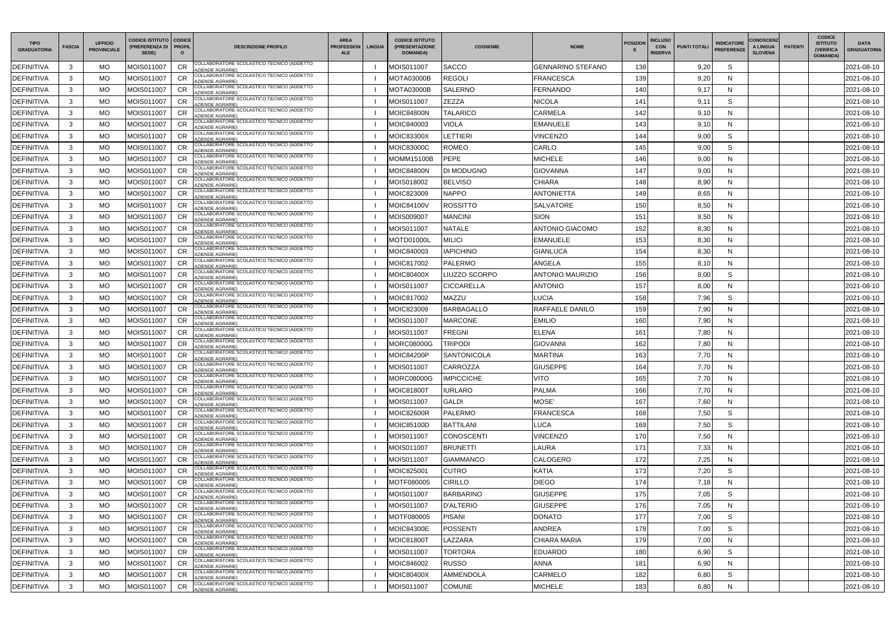| <b>TIPO</b><br><b>GRADUATORIA</b> | <b>FASCIA</b> | <b>UFFICIO</b><br><b>PROVINCIALE</b> | <b>CODICE ISTITUTO   CODICE</b><br>(PREFERENZA DI   PROFIL<br>SEDE) |                 | <b>DESCRIZIONE PROFILO</b>                                           | <b>AREA</b><br><b>PROFESSION</b><br><b>ALE</b> | <b>LINGUA</b> | <b>CODICE ISTITUTO</b><br>(PRESENTAZIONE<br><b>DOMANDA)</b> | <b>COGNOME</b>      | <b>NOME</b>              | <b>POSIZION</b> | <b>INCLUSO</b><br><b>CON</b><br><b>PUNTI TOTALI</b><br><b>RISERVA</b> | <b>INDICATORE</b><br><b>PREFERENZE</b> | <b>CONOSCENZ</b><br>A LINGUA<br><b>SLOVENA</b> | <b>PATENTI</b> | <b>CODICE</b><br><b>ISTITUTO</b><br><b>(VERIFICA)</b><br><b>DOMANDA)</b> | <b>DATA</b><br><b>GRADUATORIA</b> |
|-----------------------------------|---------------|--------------------------------------|---------------------------------------------------------------------|-----------------|----------------------------------------------------------------------|------------------------------------------------|---------------|-------------------------------------------------------------|---------------------|--------------------------|-----------------|-----------------------------------------------------------------------|----------------------------------------|------------------------------------------------|----------------|--------------------------------------------------------------------------|-----------------------------------|
| <b>DEFINITIVA</b>                 | 3             | <b>MO</b>                            | MOIS011007                                                          | <b>CR</b>       | COLLABORATORE SCOLASTICO TECNICO (ADDETTO<br><b>ZIENDE AGRARIE)</b>  |                                                |               | MOIS011007                                                  | <b>SACCO</b>        | <b>GENNARINO STEFANO</b> | 138             | 9,20                                                                  | S                                      |                                                |                |                                                                          | 2021-08-10                        |
| <b>DEFINITIVA</b>                 | $\mathbf{3}$  | МO                                   | MOIS011007                                                          |                 | COLLABORATORE SCOLASTICO TECNICO (ADDETTO<br><b>ZIENDE AGRARIE)</b>  |                                                |               | MOTA03000B                                                  | <b>REGOLI</b>       | <b>FRANCESCA</b>         | 139             | 9,20                                                                  | N                                      |                                                |                |                                                                          | 2021-08-10                        |
| <b>DEFINITIVA</b>                 | 3             | MO                                   | MOIS011007                                                          | CR              | COLLABORATORE SCOLASTICO TECNICO (ADDETTO<br><b>ZIENDE AGRARIE)</b>  |                                                |               | <b>MOTA03000B</b>                                           | <b>SALERNO</b>      | <b>FERNANDO</b>          | 140             | 9,17                                                                  | N                                      |                                                |                |                                                                          | 2021-08-10                        |
| <b>DEFINITIVA</b>                 | 3             | МO                                   | MOIS011007                                                          |                 | COLLABORATORE SCOLASTICO TECNICO (ADDETTO<br><b>ZIENDE AGRARIE</b>   |                                                |               | MOIS011007                                                  | ZEZZA               | <b>NICOLA</b>            | 141             | 9,11                                                                  | S                                      |                                                |                |                                                                          | 2021-08-10                        |
| <b>DEFINITIVA</b>                 | 3             | MO                                   | MOIS011007                                                          | CR              | COLLABORATORE SCOLASTICO TECNICO (ADDETTO<br><b>ZIENDE AGRARIE)</b>  |                                                |               | <b>MOIC84800N</b>                                           | <b>TALARICO</b>     | CARMELA                  | 142             | 9,10                                                                  | N                                      |                                                |                |                                                                          | 2021-08-10                        |
| <b>DEFINITIVA</b>                 | $\mathbf{3}$  | MO                                   | MOIS011007                                                          | CR              | COLLABORATORE SCOLASTICO TECNICO (ADDETTO<br><b>ZIENDE AGRARIE</b>   |                                                |               | MOIC840003                                                  | VIOLA               | EMANUELE                 | 143             | 9,10                                                                  | N                                      |                                                |                |                                                                          | 2021-08-10                        |
| <b>DEFINITIVA</b>                 | 3             | MO                                   | MOIS011007                                                          | <b>CR</b>       | COLLABORATORE SCOLASTICO TECNICO (ADDETTO<br><b>ZIENDE AGRARIE)</b>  |                                                |               | <b>MOIC83300X</b>                                           | <b>ETTIERI</b>      | <b>VINCENZO</b>          | 144             | 9,00                                                                  | S                                      |                                                |                |                                                                          | 2021-08-10                        |
| DEFINITIVA                        | 3             | <b>MO</b>                            | MOIS011007                                                          | <b>CR</b>       | COLLABORATORE SCOLASTICO TECNICO (ADDETTO<br><b>ZIENDE AGRARIE)</b>  |                                                |               | MOIC83000C                                                  | <b>ROMEO</b>        | CARLO                    | 145             | 9,00                                                                  | S                                      |                                                |                |                                                                          | 2021-08-10                        |
| <b>DEFINITIVA</b>                 | 3             | MO                                   | MOIS011007                                                          |                 | COLLABORATORE SCOLASTICO TECNICO (ADDETTO<br>ZIENDE AGRARIE)         |                                                |               | MOMM15100B                                                  | <b>PEPE</b>         | MICHELE                  | 146             | 9,00                                                                  | N                                      |                                                |                |                                                                          | 2021-08-10                        |
| <b>DEFINITIVA</b>                 | 3             | MO                                   | MOIS011007                                                          | <b>CR</b>       | COLLABORATORE SCOLASTICO TECNICO (ADDETTO<br><b>ZIENDE AGRARIE)</b>  |                                                |               | <b>MOIC84800N</b>                                           | <b>DI MODUGNO</b>   | <b>GIOVANNA</b>          | 147             | 9,00                                                                  | N                                      |                                                |                |                                                                          | 2021-08-10                        |
| <b>DEFINITIVA</b>                 | $\mathbf{3}$  | MO                                   | MOIS011007                                                          |                 | COLLABORATORE SCOLASTICO TECNICO (ADDETTO<br>AZIENDE AGRARIE)        |                                                |               | MOIS018002                                                  | <b>BELVISO</b>      | <b>CHIARA</b>            | 148             | 8,90                                                                  | N                                      |                                                |                |                                                                          | 2021-08-10                        |
| <b>DEFINITIVA</b>                 | 3             | MO                                   | MOIS011007                                                          | <b>CR</b>       | COLLABORATORE SCOLASTICO TECNICO (ADDETTO<br><b>ZIENDE AGRARIE)</b>  |                                                |               | MOIC823009                                                  | <b>NAPPO</b>        | <b>ANTONIETTA</b>        | 149             | 8,65                                                                  | N                                      |                                                |                |                                                                          | 2021-08-10                        |
| <b>DEFINITIVA</b>                 | 3             | МO                                   | MOIS011007                                                          | CR              | COLLABORATORE SCOLASTICO TECNICO (ADDETTO<br><b>ZIENDE AGRARIE</b>   |                                                |               | MOIC84100V                                                  | ROSSITTO            | SALVATORE                | 150             | 8,50                                                                  | N                                      |                                                |                |                                                                          | 2021-08-10                        |
| <b>DEFINITIVA</b>                 | 3             | MO                                   | MOIS011007                                                          | <b>CR</b>       | COLLABORATORE SCOLASTICO TECNICO (ADDETTO<br><b>ZIENDE AGRARIE)</b>  |                                                |               | MOIS009007                                                  | <b>MANCINI</b>      | <b>SION</b>              | 151             | 8,50                                                                  | N                                      |                                                |                |                                                                          | 2021-08-10                        |
| <b>DEFINITIVA</b>                 | 3             | MO                                   | MOIS011007                                                          | <b>CR</b>       | COLLABORATORE SCOLASTICO TECNICO (ADDETTO<br><b>ZIENDE AGRARIE)</b>  |                                                |               | MOIS011007                                                  | NATALE              | ANTONIO GIACOMO          | 152             | 8,30                                                                  | N                                      |                                                |                |                                                                          | 2021-08-10                        |
| <b>DEFINITIVA</b>                 | 3             | MO.                                  | MOIS011007                                                          | <b>CR</b>       | COLLABORATORE SCOLASTICO TECNICO (ADDETTO<br>ZIENDE AGRARIE)         |                                                |               | MOTD01000L                                                  | <b>MILICI</b>       | EMANUELE                 | 153             | 8,30                                                                  | N                                      |                                                |                |                                                                          | 2021-08-10                        |
| <b>DEFINITIVA</b>                 | 3             | MO                                   | MOIS011007                                                          | CR              | COLLABORATORE SCOLASTICO TECNICO (ADDETTO<br><b>ZIENDE AGRARIE)</b>  |                                                |               | MOIC840003                                                  | <b>IAPICHINO</b>    | <b>GIANLUCA</b>          | 154             | 8,30                                                                  | N                                      |                                                |                |                                                                          | 2021-08-10                        |
| <b>DEFINITIVA</b>                 | 3             | MO                                   | MOIS011007                                                          |                 | COLLABORATORE SCOLASTICO TECNICO (ADDETTO<br><b>ZIENDE AGRARIE)</b>  |                                                |               | MOIC817002                                                  | <b>PALERMO</b>      | <b>ANGELA</b>            | 155             | 8,10                                                                  | N                                      |                                                |                |                                                                          | 2021-08-10                        |
| <b>DEFINITIVA</b>                 | 3             | MO                                   | MOIS011007                                                          | <b>CR</b>       | COLLABORATORE SCOLASTICO TECNICO (ADDETTO<br><b>ZIENDE AGRARIE)</b>  |                                                |               | <b>MOIC80400X</b>                                           | <b>IUZZO SCORPO</b> | <b>ANTONIO MAURIZIO</b>  | 156             | 8,00                                                                  | S                                      |                                                |                |                                                                          | 2021-08-10                        |
| <b>DEFINITIVA</b>                 | 3             | МO                                   | MOIS011007                                                          | CR              | COLLABORATORE SCOLASTICO TECNICO (ADDETTO<br><b>ZIENDE AGRARIE</b>   |                                                |               | MOIS011007                                                  | CICCARELLA          | <b>ANTONIO</b>           | 157             | 8,00                                                                  | N                                      |                                                |                |                                                                          | 2021-08-10                        |
| <b>DEFINITIVA</b>                 | 3             | MO                                   | MOIS011007                                                          | CR              | COLLABORATORE SCOLASTICO TECNICO (ADDETTO<br>ZIENDE AGRARIE)         |                                                |               | MOIC817002                                                  | MAZZU               | <b>LUCIA</b>             | 158             | 7,96                                                                  | S                                      |                                                |                |                                                                          | 2021-08-10                        |
| <b>DEFINITIVA</b>                 | 3             | MO                                   | MOIS011007                                                          | <b>CR</b>       | COLLABORATORE SCOLASTICO TECNICO (ADDETTO<br><b>ZIENDE AGRARIE)</b>  |                                                |               | MOIC823009                                                  | <b>BARBAGALLO</b>   | RAFFAELE DANILO          | 159             | 7,90                                                                  | N                                      |                                                |                |                                                                          | 2021-08-10                        |
| <b>DEFINITIVA</b>                 | 3             | MO                                   | MOIS011007                                                          | <b>CR</b>       | COLLABORATORE SCOLASTICO TECNICO (ADDETTO<br><b>ZIENDE AGRARIE)</b>  |                                                |               | MOIS011007                                                  | <b>MARCONE</b>      | <b>EMILIO</b>            | 160             | 7,90                                                                  | N                                      |                                                |                |                                                                          | 2021-08-10                        |
| <b>DEFINITIVA</b>                 | 3             | МO                                   | MOIS011007                                                          | <b>CR</b>       | COLLABORATORE SCOLASTICO TECNICO (ADDETTO<br><b>ZIENDE AGRARIE)</b>  |                                                |               | MOIS011007                                                  | FREGNI              | ELENA                    | 161             | 7,80                                                                  | N                                      |                                                |                |                                                                          | 2021-08-10                        |
| <b>DEFINITIVA</b>                 | 3             | MO                                   | MOIS011007                                                          |                 | COLLABORATORE SCOLASTICO TECNICO (ADDETTO<br><b>ZIENDE AGRARIE)</b>  |                                                |               | MORC08000G                                                  | <b>TRIPODI</b>      | <b>GIOVANNI</b>          | 162             | 7,80                                                                  | N                                      |                                                |                |                                                                          | 2021-08-10                        |
| <b>DEFINITIVA</b>                 | 3             | <b>MO</b>                            | MOIS011007                                                          | <b>CR</b>       | COLLABORATORE SCOLASTICO TECNICO (ADDETTO<br><b>ZIENDE AGRARIE)</b>  |                                                |               | MOIC84200P                                                  | <b>SANTONICOLA</b>  | <b>MARTINA</b>           | 163             | 7,70                                                                  | N                                      |                                                |                |                                                                          | 2021-08-10                        |
| <b>DEFINITIVA</b>                 | $\mathbf{R}$  | <b>MO</b>                            | MOIS011007                                                          | $C$ R<br>$\sim$ | COLLABORATORE SCOLASTICO TECNICO (ADDETTO<br>AZIENDE AGRARIE)        |                                                |               | MOIS011007                                                  | CARROZZA            | <b>GIUSEPPE</b>          | 164             | 7,70                                                                  | N                                      |                                                |                |                                                                          | 2021-08-10                        |
| <b>DEFINITIVA</b>                 | 3             | MO                                   | MOIS011007                                                          | <b>CR</b>       | COLLABORATORE SCOLASTICO TECNICO (ADDETTO<br><b>ZIENDE AGRARIE)</b>  |                                                |               | <b>MORC08000G</b>                                           | <b>IMPICCICHE</b>   | <b>VITO</b>              | 165             | 7,70                                                                  | N                                      |                                                |                |                                                                          | 2021-08-10                        |
| <b>DEFINITIVA</b>                 | 3             | MO                                   | MOIS011007                                                          | <b>CR</b>       | COLLABORATORE SCOLASTICO TECNICO (ADDETTO<br>AZIENDE AGRARIE)        |                                                |               | <b>MOIC81800T</b>                                           | <b>IURLARO</b>      | <b>PALMA</b>             | 166             | 7,70                                                                  | N                                      |                                                |                |                                                                          | 2021-08-10                        |
| <b>DEFINITIVA</b>                 | 3             | MO                                   | MOIS011007                                                          | <b>CR</b>       | COLLABORATORE SCOLASTICO TECNICO (ADDETTO<br>ZIENDE AGRARIE)         |                                                |               | MOIS011007                                                  | <b>GALDI</b>        | MOSE'                    | 167             | 7,60                                                                  | N                                      |                                                |                |                                                                          | 2021-08-10                        |
| <b>DEFINITIVA</b>                 | 3             | MO                                   | MOIS011007                                                          | <b>CR</b>       | COLLABORATORE SCOLASTICO TECNICO (ADDETTO<br>AZIENDE AGRARIE)        |                                                |               | <b>MOIC82600R</b>                                           | <b>PALERMO</b>      | <b>FRANCESCA</b>         | 168             | 7,50                                                                  | S                                      |                                                |                |                                                                          | 2021-08-10                        |
| <b>DEFINITIVA</b>                 | 3             | MO                                   | MOIS011007                                                          | <b>CR</b>       | COLLABORATORE SCOLASTICO TECNICO (ADDETTO<br>AZIENDE AGRARIE)        |                                                |               | MOIC85100D                                                  | <b>BATTILANI</b>    | <b>LUCA</b>              | 169             | 7,50                                                                  | S                                      |                                                |                |                                                                          | 2021-08-10                        |
| <b>DEFINITIVA</b>                 | 3             | MO                                   | MOIS011007                                                          | <b>CR</b>       | COLLABORATORE SCOLASTICO TECNICO (ADDETTO<br><b>AZIENDE AGRARIE)</b> |                                                |               | MOIS011007                                                  | <b>CONOSCENTI</b>   | <b>VINCENZO</b>          | 170             | 7,50                                                                  | N                                      |                                                |                |                                                                          | 2021-08-10                        |
| <b>DEFINITIVA</b>                 | $\mathbf{3}$  | MO                                   | MOIS011007                                                          | <b>CR</b>       | COLLABORATORE SCOLASTICO TECNICO (ADDETTO<br><b>AZIENDE AGRARIE)</b> |                                                |               | MOIS011007                                                  | <b>BRUNETTI</b>     | LAURA                    | 171             | 7,33                                                                  | N                                      |                                                |                |                                                                          | 2021-08-10                        |
| <b>DEFINITIVA</b>                 | $\mathbf{3}$  | MO                                   | MOIS011007                                                          | <b>CR</b>       | COLLABORATORE SCOLASTICO TECNICO (ADDETTO<br><b>AZIENDE AGRARIE)</b> |                                                |               | MOIS011007                                                  | <b>GIAMMANCO</b>    | CALOGERO                 | 172             | 7,25                                                                  | N                                      |                                                |                |                                                                          | 2021-08-10                        |
| <b>DEFINITIVA</b>                 | 3             | MO                                   | MOIS011007                                                          | <b>CR</b>       | COLLABORATORE SCOLASTICO TECNICO (ADDETTO<br>AZIENDE AGRARIE)        |                                                |               | MOIC825001                                                  | <b>CUTRO</b>        | <b>KATIA</b>             | 173             | 7,20                                                                  | S                                      |                                                |                |                                                                          | 2021-08-10                        |
| <b>DEFINITIVA</b>                 | 3             | MO                                   | MOIS011007                                                          | <b>CR</b>       | COLLABORATORE SCOLASTICO TECNICO (ADDETTO<br>ZIENDE AGRARIE)         |                                                |               | MOTF080005                                                  | <b>CIRILLO</b>      | <b>DIEGO</b>             | 174             | 7,18                                                                  | N                                      |                                                |                |                                                                          | 2021-08-10                        |
| <b>DEFINITIVA</b>                 | 3             | MO                                   | MOIS011007                                                          | CR              | COLLABORATORE SCOLASTICO TECNICO (ADDETTO<br>AZIENDE AGRARIE)        |                                                |               | MOIS011007                                                  | <b>BARBARINO</b>    | <b>GIUSEPPE</b>          | 175             | 7,05                                                                  | S                                      |                                                |                |                                                                          | 2021-08-10                        |
| <b>DEFINITIVA</b>                 | 3             | MO                                   | MOIS011007                                                          | <b>CR</b>       | COLLABORATORE SCOLASTICO TECNICO (ADDETTO<br>AZIENDE AGRARIE)        |                                                |               | MOIS011007                                                  | <b>D'ALTERIO</b>    | <b>GIUSEPPE</b>          | 176             | 7,05                                                                  | N                                      |                                                |                |                                                                          | 2021-08-10                        |
| <b>DEFINITIVA</b>                 | 3             | MO                                   | MOIS011007                                                          | <b>CR</b>       | COLLABORATORE SCOLASTICO TECNICO (ADDETTO<br>AZIENDE AGRARIE)        |                                                |               | MOTF080005                                                  | <b>PISANI</b>       | <b>DONATO</b>            | 177             | 7,00                                                                  | S                                      |                                                |                |                                                                          | 2021-08-10                        |
| <b>DEFINITIVA</b>                 | $\mathbf{3}$  | MO                                   | MOIS011007                                                          | <b>CR</b>       | COLLABORATORE SCOLASTICO TECNICO (ADDETTO<br><b>ZIENDE AGRARIE)</b>  |                                                |               | MOIC84300E                                                  | POSSENTI            | ANDREA                   | 178             | 7,00                                                                  | S                                      |                                                |                |                                                                          | 2021-08-10                        |
| <b>DEFINITIVA</b>                 | 3             | MO                                   | MOIS011007                                                          | <b>CR</b>       | COLLABORATORE SCOLASTICO TECNICO (ADDETTO<br><b>ZIENDE AGRARIE)</b>  |                                                |               | <b>MOIC81800T</b>                                           | LAZZARA             | CHIARA MARIA             | 179             | 7,00                                                                  | N                                      |                                                |                |                                                                          | 2021-08-10                        |
| <b>DEFINITIVA</b>                 | $\mathbf{3}$  | MO                                   | MOIS011007                                                          | <b>CR</b>       | COLLABORATORE SCOLASTICO TECNICO (ADDETTO<br>AZIENDE AGRARIE)        |                                                |               | MOIS011007                                                  | <b>TORTORA</b>      | <b>EDUARDO</b>           | 180             | 6,90                                                                  | S                                      |                                                |                |                                                                          | 2021-08-10                        |
| <b>DEFINITIVA</b>                 | 3             | MO                                   | MOIS011007                                                          | <b>CR</b>       | COLLABORATORE SCOLASTICO TECNICO (ADDETTO<br>AZIENDE AGRARIE)        |                                                |               | MOIC846002                                                  | <b>RUSSO</b>        | ANNA                     | 181             | 6,90                                                                  | N                                      |                                                |                |                                                                          | 2021-08-10                        |
| <b>DEFINITIVA</b>                 | 3             | MO                                   | MOIS011007                                                          | <b>CR</b>       | COLLABORATORE SCOLASTICO TECNICO (ADDETTO<br>ZIENDE AGRARIE)         |                                                |               | <b>MOIC80400X</b>                                           | AMMENDOLA           | CARMELO                  | 182             | 6,80                                                                  | S                                      |                                                |                |                                                                          | 2021-08-10                        |
| <b>DEFINITIVA</b>                 | 3             | MO                                   | MOIS011007                                                          | CR              | COLLABORATORE SCOLASTICO TECNICO (ADDETTO<br><b>ZIENDE AGRARIE)</b>  |                                                |               | MOIS011007                                                  | <b>COMUNE</b>       | <b>MICHELE</b>           | 183             | 6,80                                                                  | N                                      |                                                |                |                                                                          | 2021-08-10                        |
|                                   |               |                                      |                                                                     |                 |                                                                      |                                                |               |                                                             |                     |                          |                 |                                                                       |                                        |                                                |                |                                                                          |                                   |